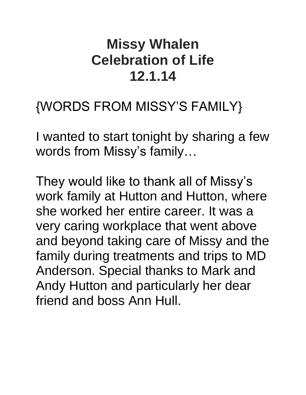# **Missy Whalen Celebration of Life 12.1.14**

### {WORDS FROM MISSY'S FAMILY}

I wanted to start tonight by sharing a few words from Missy's family…

They would like to thank all of Missy's work family at Hutton and Hutton, where she worked her entire career. It was a very caring workplace that went above and beyond taking care of Missy and the family during treatments and trips to MD Anderson. Special thanks to Mark and Andy Hutton and particularly her dear friend and boss Ann Hull.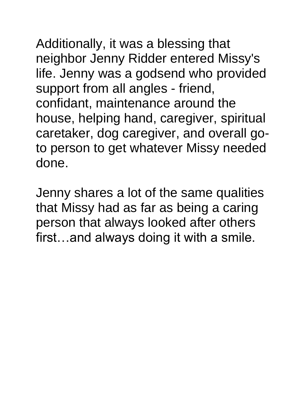Additionally, it was a blessing that neighbor Jenny Ridder entered Missy's life. Jenny was a godsend who provided support from all angles - friend, confidant, maintenance around the house, helping hand, caregiver, spiritual caretaker, dog caregiver, and overall goto person to get whatever Missy needed done.

Jenny shares a lot of the same qualities that Missy had as far as being a caring person that always looked after others first…and always doing it with a smile.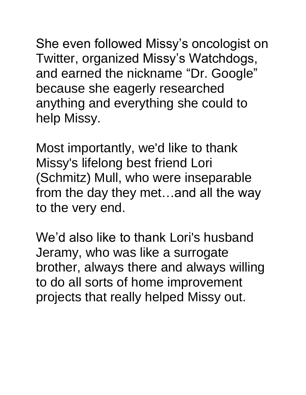She even followed Missy's oncologist on Twitter, organized Missy's Watchdogs, and earned the nickname "Dr. Google" because she eagerly researched anything and everything she could to help Missy.

Most importantly, we'd like to thank Missy's lifelong best friend Lori (Schmitz) Mull, who were inseparable from the day they met…and all the way to the very end.

We'd also like to thank Lori's husband Jeramy, who was like a surrogate brother, always there and always willing to do all sorts of home improvement projects that really helped Missy out.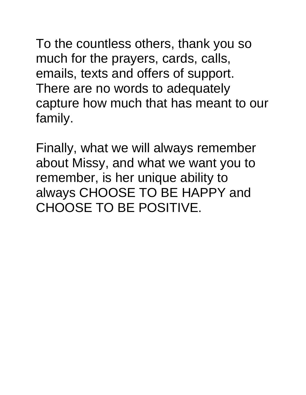To the countless others, thank you so much for the prayers, cards, calls, emails, texts and offers of support. There are no words to adequately capture how much that has meant to our family.

Finally, what we will always remember about Missy, and what we want you to remember, is her unique ability to always CHOOSE TO BE HAPPY and CHOOSE TO BE POSITIVE.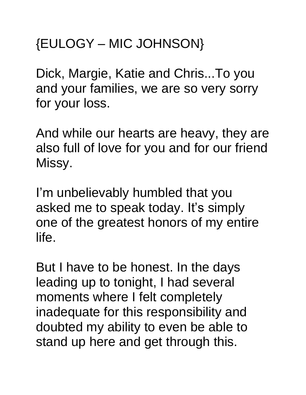# {EULOGY – MIC JOHNSON}

Dick, Margie, Katie and Chris...To you and your families, we are so very sorry for your loss.

And while our hearts are heavy, they are also full of love for you and for our friend Missy.

I'm unbelievably humbled that you asked me to speak today. It's simply one of the greatest honors of my entire life.

But I have to be honest. In the days leading up to tonight, I had several moments where I felt completely inadequate for this responsibility and doubted my ability to even be able to stand up here and get through this.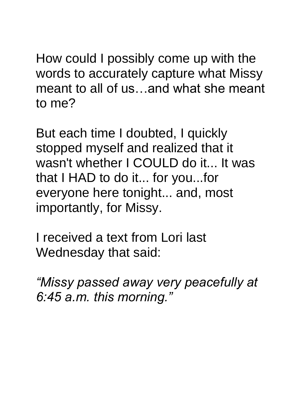How could I possibly come up with the words to accurately capture what Missy meant to all of us…and what she meant to me?

But each time I doubted, I quickly stopped myself and realized that it wasn't whether I COULD do it... It was that I HAD to do it... for you...for everyone here tonight... and, most importantly, for Missy.

I received a text from Lori last Wednesday that said:

*"Missy passed away very peacefully at 6:45 a.m. this morning."*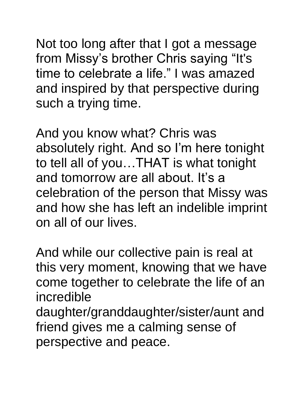Not too long after that I got a message from Missy's brother Chris saying "It's time to celebrate a life." I was amazed and inspired by that perspective during such a trying time.

And you know what? Chris was absolutely right. And so I'm here tonight to tell all of you…THAT is what tonight and tomorrow are all about. It's a celebration of the person that Missy was and how she has left an indelible imprint on all of our lives.

And while our collective pain is real at this very moment, knowing that we have come together to celebrate the life of an incredible daughter/granddaughter/sister/aunt and friend gives me a calming sense of perspective and peace.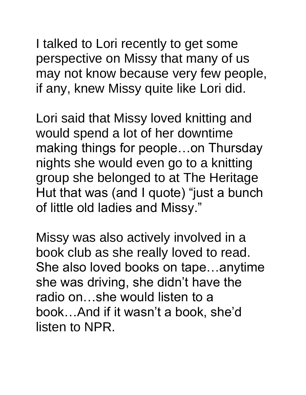I talked to Lori recently to get some perspective on Missy that many of us may not know because very few people, if any, knew Missy quite like Lori did.

Lori said that Missy loved knitting and would spend a lot of her downtime making things for people…on Thursday nights she would even go to a knitting group she belonged to at The Heritage Hut that was (and I quote) "just a bunch of little old ladies and Missy."

Missy was also actively involved in a book club as she really loved to read. She also loved books on tape…anytime she was driving, she didn't have the radio on…she would listen to a book…And if it wasn't a book, she'd listen to NPR.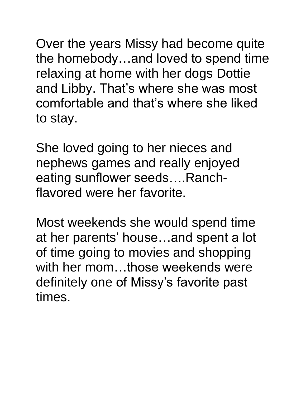Over the years Missy had become quite the homebody…and loved to spend time relaxing at home with her dogs Dottie and Libby. That's where she was most comfortable and that's where she liked to stay.

She loved going to her nieces and nephews games and really enjoyed eating sunflower seeds….Ranchflavored were her favorite.

Most weekends she would spend time at her parents' house…and spent a lot of time going to movies and shopping with her mom...those weekends were definitely one of Missy's favorite past times.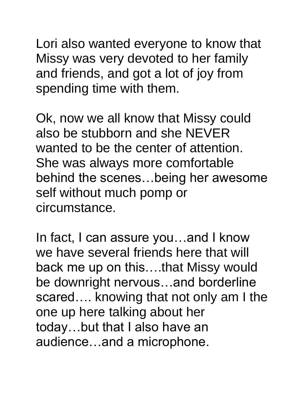Lori also wanted everyone to know that Missy was very devoted to her family and friends, and got a lot of joy from spending time with them.

Ok, now we all know that Missy could also be stubborn and she NEVER wanted to be the center of attention. She was always more comfortable behind the scenes…being her awesome self without much pomp or circumstance.

In fact, I can assure you…and I know we have several friends here that will back me up on this….that Missy would be downright nervous…and borderline scared…. knowing that not only am I the one up here talking about her today…but that I also have an audience…and a microphone.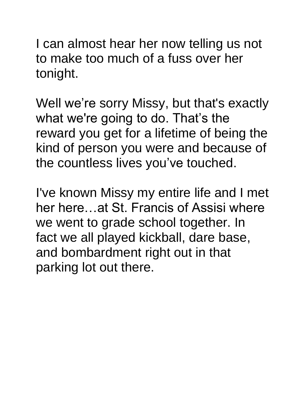I can almost hear her now telling us not to make too much of a fuss over her tonight.

Well we're sorry Missy, but that's exactly what we're going to do. That's the reward you get for a lifetime of being the kind of person you were and because of the countless lives you've touched.

I've known Missy my entire life and I met her here…at St. Francis of Assisi where we went to grade school together. In fact we all played kickball, dare base, and bombardment right out in that parking lot out there.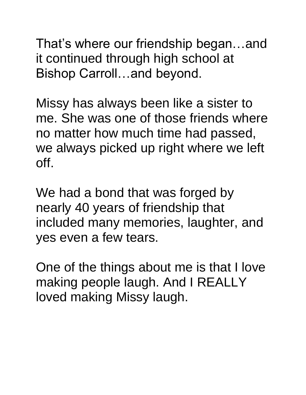That's where our friendship began…and it continued through high school at Bishop Carroll…and beyond.

Missy has always been like a sister to me. She was one of those friends where no matter how much time had passed, we always picked up right where we left off.

We had a bond that was forged by nearly 40 years of friendship that included many memories, laughter, and yes even a few tears.

One of the things about me is that I love making people laugh. And I REALLY loved making Missy laugh.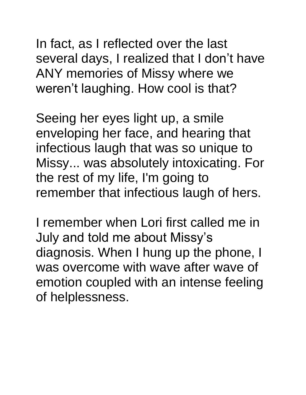In fact, as I reflected over the last several days, I realized that I don't have ANY memories of Missy where we weren't laughing. How cool is that?

Seeing her eyes light up, a smile enveloping her face, and hearing that infectious laugh that was so unique to Missy... was absolutely intoxicating. For the rest of my life, I'm going to remember that infectious laugh of hers.

I remember when Lori first called me in July and told me about Missy's diagnosis. When I hung up the phone, I was overcome with wave after wave of emotion coupled with an intense feeling of helplessness.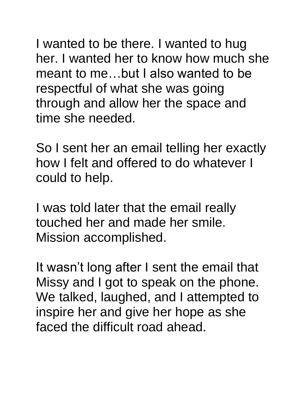I wanted to be there. I wanted to hug her. I wanted her to know how much she meant to me…but I also wanted to be respectful of what she was going through and allow her the space and time she needed.

So I sent her an email telling her exactly how I felt and offered to do whatever I could to help.

I was told later that the email really touched her and made her smile. Mission accomplished.

It wasn't long after I sent the email that Missy and I got to speak on the phone. We talked, laughed, and I attempted to inspire her and give her hope as she faced the difficult road ahead.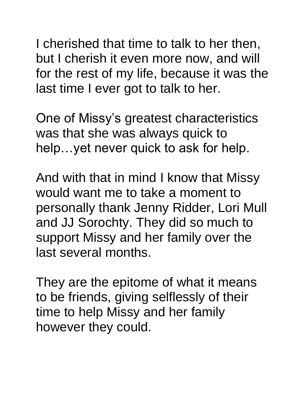I cherished that time to talk to her then, but I cherish it even more now, and will for the rest of my life, because it was the last time I ever got to talk to her.

One of Missy's greatest characteristics was that she was always quick to help…yet never quick to ask for help.

And with that in mind I know that Missy would want me to take a moment to personally thank Jenny Ridder, Lori Mull and JJ Sorochty. They did so much to support Missy and her family over the last several months.

They are the epitome of what it means to be friends, giving selflessly of their time to help Missy and her family however they could.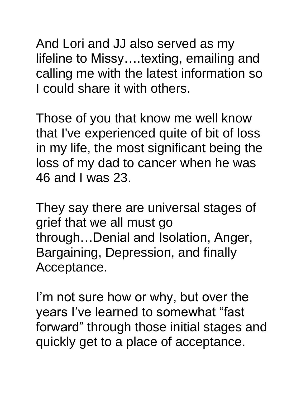And Lori and JJ also served as my lifeline to Missy….texting, emailing and calling me with the latest information so I could share it with others.

Those of you that know me well know that I've experienced quite of bit of loss in my life, the most significant being the loss of my dad to cancer when he was 46 and I was 23.

They say there are universal stages of grief that we all must go through…Denial and Isolation, Anger, Bargaining, Depression, and finally Acceptance.

I'm not sure how or why, but over the years I've learned to somewhat "fast forward" through those initial stages and quickly get to a place of acceptance.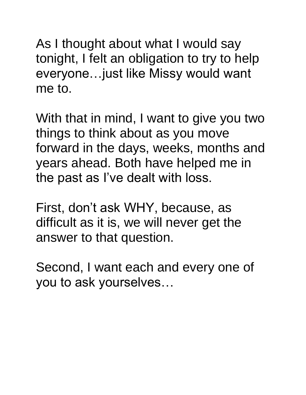As I thought about what I would say tonight, I felt an obligation to try to help everyone…just like Missy would want me to.

With that in mind, I want to give you two things to think about as you move forward in the days, weeks, months and years ahead. Both have helped me in the past as I've dealt with loss.

First, don't ask WHY, because, as difficult as it is, we will never get the answer to that question.

Second, I want each and every one of you to ask yourselves…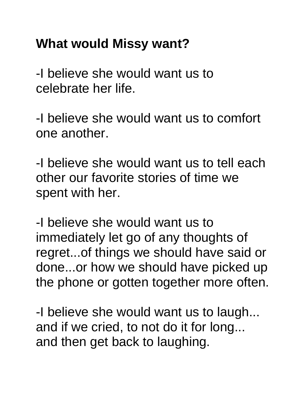## **What would Missy want?**

-I believe she would want us to celebrate her life.

-I believe she would want us to comfort one another.

-I believe she would want us to tell each other our favorite stories of time we spent with her.

-I believe she would want us to immediately let go of any thoughts of regret...of things we should have said or done...or how we should have picked up the phone or gotten together more often.

-I believe she would want us to laugh... and if we cried, to not do it for long... and then get back to laughing.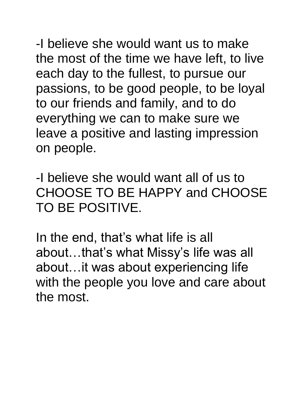-I believe she would want us to make the most of the time we have left, to live each day to the fullest, to pursue our passions, to be good people, to be loyal to our friends and family, and to do everything we can to make sure we leave a positive and lasting impression on people.

-I believe she would want all of us to CHOOSE TO BE HAPPY and CHOOSE TO BE POSITIVE.

In the end, that's what life is all about…that's what Missy's life was all about…it was about experiencing life with the people you love and care about the most.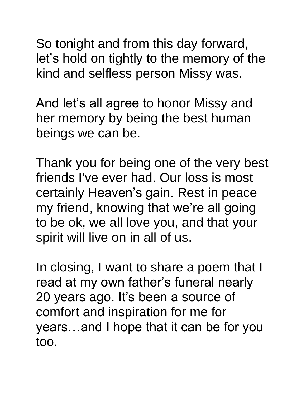So tonight and from this day forward, let's hold on tightly to the memory of the kind and selfless person Missy was.

And let's all agree to honor Missy and her memory by being the best human beings we can be.

Thank you for being one of the very best friends I've ever had. Our loss is most certainly Heaven's gain. Rest in peace my friend, knowing that we're all going to be ok, we all love you, and that your spirit will live on in all of us.

In closing, I want to share a poem that I read at my own father's funeral nearly 20 years ago. It's been a source of comfort and inspiration for me for years…and I hope that it can be for you too.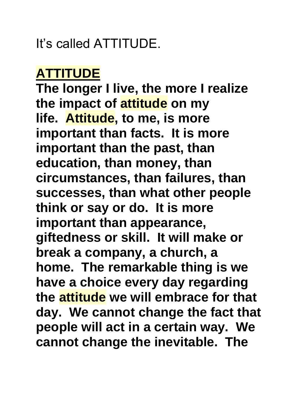It's called ATTITUDE.

#### **ATTITUDE**

**The longer I live, the more I realize the impact of attitude on my life. Attitude, to me, is more important than facts. It is more important than the past, than education, than money, than circumstances, than failures, than successes, than what other people think or say or do. It is more important than appearance, giftedness or skill. It will make or break a company, a church, a home. The remarkable thing is we have a choice every day regarding the attitude we will embrace for that day. We cannot change the fact that people will act in a certain way. We cannot change the inevitable. The**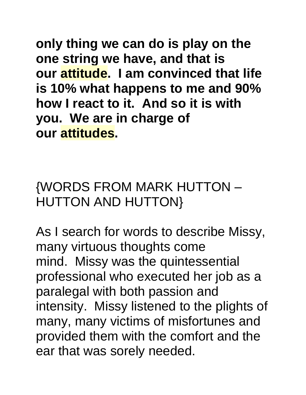**only thing we can do is play on the one string we have, and that is our attitude. I am convinced that life is 10% what happens to me and 90% how I react to it. And so it is with you. We are in charge of our attitudes.**

{WORDS FROM MARK HUTTON – HUTTON AND HUTTON}

As I search for words to describe Missy, many virtuous thoughts come mind. Missy was the quintessential professional who executed her job as a paralegal with both passion and intensity. Missy listened to the plights of many, many victims of misfortunes and provided them with the comfort and the ear that was sorely needed.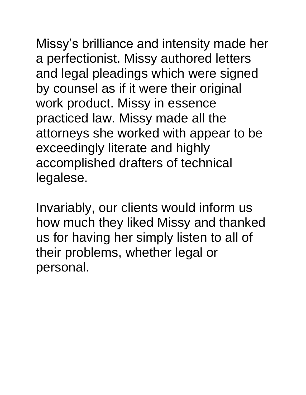Missy's brilliance and intensity made her a perfectionist. Missy authored letters and legal pleadings which were signed by counsel as if it were their original work product. Missy in essence practiced law. Missy made all the attorneys she worked with appear to be exceedingly literate and highly accomplished drafters of technical

legalese.

Invariably, our clients would inform us how much they liked Missy and thanked us for having her simply listen to all of their problems, whether legal or personal.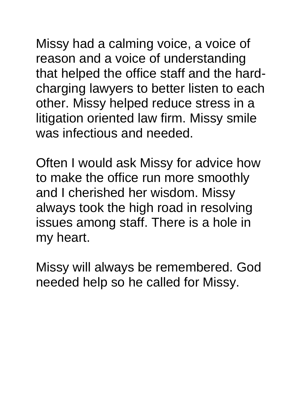Missy had a calming voice, a voice of reason and a voice of understanding that helped the office staff and the hardcharging lawyers to better listen to each other. Missy helped reduce stress in a litigation oriented law firm. Missy smile was infectious and needed.

Often I would ask Missy for advice how to make the office run more smoothly and I cherished her wisdom. Missy always took the high road in resolving issues among staff. There is a hole in my heart.

Missy will always be remembered. God needed help so he called for Missy.